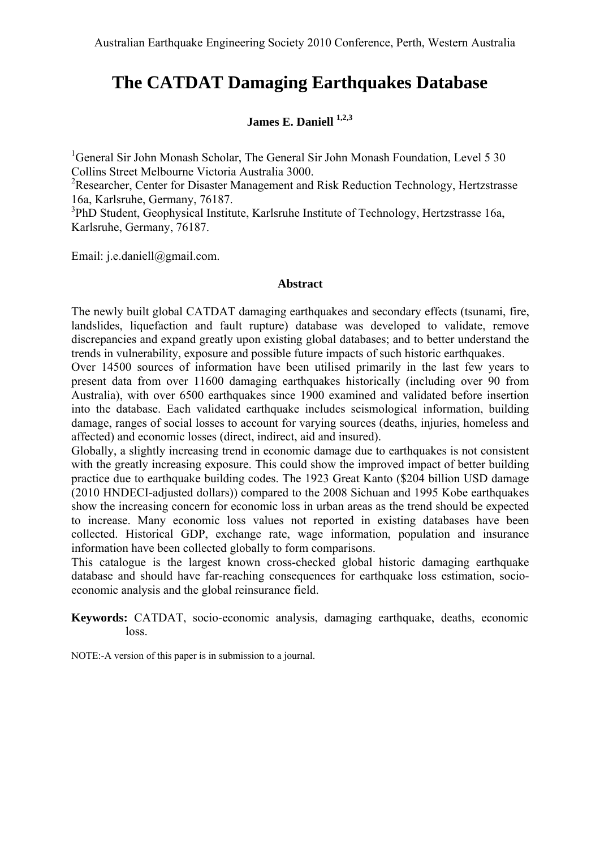# **The CATDAT Damaging Earthquakes Database**

# **James E. Daniell 1,2,3**

<sup>1</sup>General Sir John Monash Scholar, The General Sir John Monash Foundation, Level 5 30 Collins Street Melbourne Victoria Australia 3000.

<sup>2</sup>Researcher, Center for Disaster Management and Risk Reduction Technology, Hertzstrasse 16a, Karlsruhe, Germany, 76187.

<sup>3</sup>PhD Student, Geophysical Institute, Karlsruhe Institute of Technology, Hertzstrasse 16a, Karlsruhe, Germany, 76187.

Email: j.e.daniell@gmail.com.

#### **Abstract**

The newly built global CATDAT damaging earthquakes and secondary effects (tsunami, fire, landslides, liquefaction and fault rupture) database was developed to validate, remove discrepancies and expand greatly upon existing global databases; and to better understand the trends in vulnerability, exposure and possible future impacts of such historic earthquakes.

Over 14500 sources of information have been utilised primarily in the last few years to present data from over 11600 damaging earthquakes historically (including over 90 from Australia), with over 6500 earthquakes since 1900 examined and validated before insertion into the database. Each validated earthquake includes seismological information, building damage, ranges of social losses to account for varying sources (deaths, injuries, homeless and affected) and economic losses (direct, indirect, aid and insured).

Globally, a slightly increasing trend in economic damage due to earthquakes is not consistent with the greatly increasing exposure. This could show the improved impact of better building practice due to earthquake building codes. The 1923 Great Kanto (\$204 billion USD damage (2010 HNDECI-adjusted dollars)) compared to the 2008 Sichuan and 1995 Kobe earthquakes show the increasing concern for economic loss in urban areas as the trend should be expected to increase. Many economic loss values not reported in existing databases have been collected. Historical GDP, exchange rate, wage information, population and insurance information have been collected globally to form comparisons.

This catalogue is the largest known cross-checked global historic damaging earthquake database and should have far-reaching consequences for earthquake loss estimation, socioeconomic analysis and the global reinsurance field.

**Keywords:** CATDAT, socio-economic analysis, damaging earthquake, deaths, economic loss.

NOTE:-A version of this paper is in submission to a journal.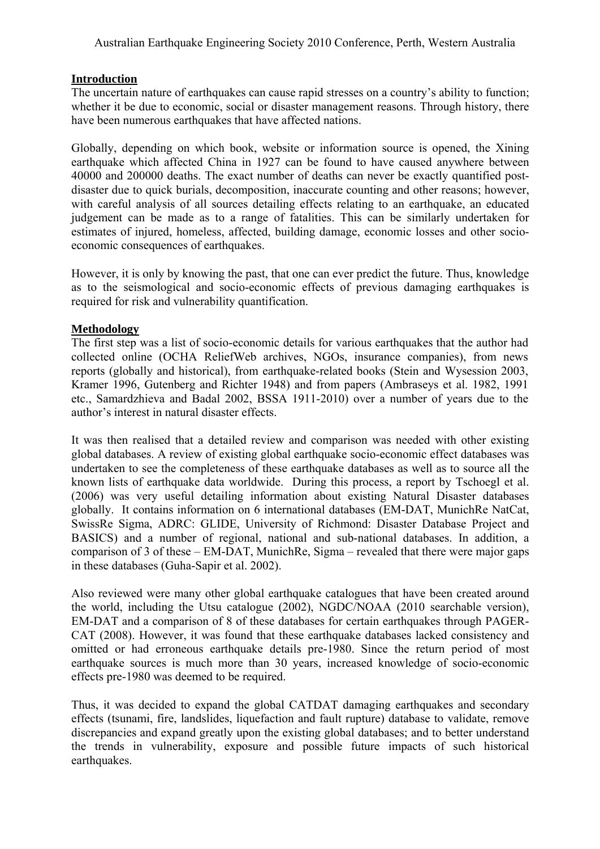## **Introduction**

The uncertain nature of earthquakes can cause rapid stresses on a country's ability to function; whether it be due to economic, social or disaster management reasons. Through history, there have been numerous earthquakes that have affected nations.

Globally, depending on which book, website or information source is opened, the Xining earthquake which affected China in 1927 can be found to have caused anywhere between 40000 and 200000 deaths. The exact number of deaths can never be exactly quantified postdisaster due to quick burials, decomposition, inaccurate counting and other reasons; however, with careful analysis of all sources detailing effects relating to an earthquake, an educated judgement can be made as to a range of fatalities. This can be similarly undertaken for estimates of injured, homeless, affected, building damage, economic losses and other socioeconomic consequences of earthquakes.

However, it is only by knowing the past, that one can ever predict the future. Thus, knowledge as to the seismological and socio-economic effects of previous damaging earthquakes is required for risk and vulnerability quantification.

# **Methodology**

The first step was a list of socio-economic details for various earthquakes that the author had collected online (OCHA ReliefWeb archives, NGOs, insurance companies), from news reports (globally and historical), from earthquake-related books (Stein and Wysession 2003, Kramer 1996, Gutenberg and Richter 1948) and from papers (Ambraseys et al. 1982, 1991 etc., Samardzhieva and Badal 2002, BSSA 1911-2010) over a number of years due to the author's interest in natural disaster effects.

It was then realised that a detailed review and comparison was needed with other existing global databases. A review of existing global earthquake socio-economic effect databases was undertaken to see the completeness of these earthquake databases as well as to source all the known lists of earthquake data worldwide. During this process, a report by Tschoegl et al. (2006) was very useful detailing information about existing Natural Disaster databases globally. It contains information on 6 international databases (EM-DAT, MunichRe NatCat, SwissRe Sigma, ADRC: GLIDE, University of Richmond: Disaster Database Project and BASICS) and a number of regional, national and sub-national databases. In addition, a comparison of 3 of these – EM-DAT, MunichRe, Sigma – revealed that there were major gaps in these databases (Guha-Sapir et al. 2002).

Also reviewed were many other global earthquake catalogues that have been created around the world, including the Utsu catalogue (2002), NGDC/NOAA (2010 searchable version), EM-DAT and a comparison of 8 of these databases for certain earthquakes through PAGER-CAT (2008). However, it was found that these earthquake databases lacked consistency and omitted or had erroneous earthquake details pre-1980. Since the return period of most earthquake sources is much more than 30 years, increased knowledge of socio-economic effects pre-1980 was deemed to be required.

Thus, it was decided to expand the global CATDAT damaging earthquakes and secondary effects (tsunami, fire, landslides, liquefaction and fault rupture) database to validate, remove discrepancies and expand greatly upon the existing global databases; and to better understand the trends in vulnerability, exposure and possible future impacts of such historical earthquakes.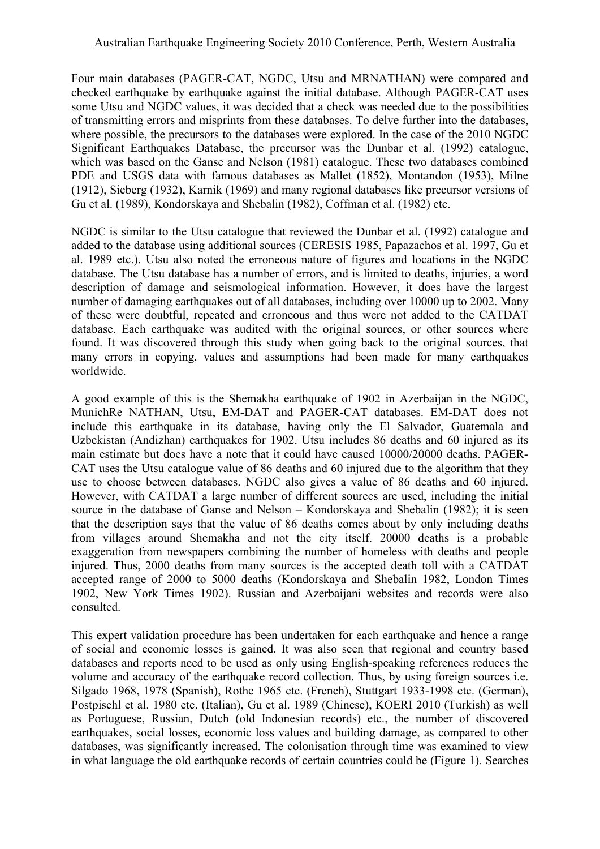Four main databases (PAGER-CAT, NGDC, Utsu and MRNATHAN) were compared and checked earthquake by earthquake against the initial database. Although PAGER-CAT uses some Utsu and NGDC values, it was decided that a check was needed due to the possibilities of transmitting errors and misprints from these databases. To delve further into the databases, where possible, the precursors to the databases were explored. In the case of the 2010 NGDC Significant Earthquakes Database, the precursor was the Dunbar et al. (1992) catalogue, which was based on the Ganse and Nelson (1981) catalogue. These two databases combined PDE and USGS data with famous databases as Mallet (1852), Montandon (1953), Milne (1912), Sieberg (1932), Karnik (1969) and many regional databases like precursor versions of Gu et al. (1989), Kondorskaya and Shebalin (1982), Coffman et al. (1982) etc.

NGDC is similar to the Utsu catalogue that reviewed the Dunbar et al. (1992) catalogue and added to the database using additional sources (CERESIS 1985, Papazachos et al. 1997, Gu et al. 1989 etc.). Utsu also noted the erroneous nature of figures and locations in the NGDC database. The Utsu database has a number of errors, and is limited to deaths, injuries, a word description of damage and seismological information. However, it does have the largest number of damaging earthquakes out of all databases, including over 10000 up to 2002. Many of these were doubtful, repeated and erroneous and thus were not added to the CATDAT database. Each earthquake was audited with the original sources, or other sources where found. It was discovered through this study when going back to the original sources, that many errors in copying, values and assumptions had been made for many earthquakes worldwide.

A good example of this is the Shemakha earthquake of 1902 in Azerbaijan in the NGDC, MunichRe NATHAN, Utsu, EM-DAT and PAGER-CAT databases. EM-DAT does not include this earthquake in its database, having only the El Salvador, Guatemala and Uzbekistan (Andizhan) earthquakes for 1902. Utsu includes 86 deaths and 60 injured as its main estimate but does have a note that it could have caused 10000/20000 deaths. PAGER-CAT uses the Utsu catalogue value of 86 deaths and 60 injured due to the algorithm that they use to choose between databases. NGDC also gives a value of 86 deaths and 60 injured. However, with CATDAT a large number of different sources are used, including the initial source in the database of Ganse and Nelson – Kondorskaya and Shebalin (1982); it is seen that the description says that the value of 86 deaths comes about by only including deaths from villages around Shemakha and not the city itself. 20000 deaths is a probable exaggeration from newspapers combining the number of homeless with deaths and people injured. Thus, 2000 deaths from many sources is the accepted death toll with a CATDAT accepted range of 2000 to 5000 deaths (Kondorskaya and Shebalin 1982, London Times 1902, New York Times 1902). Russian and Azerbaijani websites and records were also consulted.

This expert validation procedure has been undertaken for each earthquake and hence a range of social and economic losses is gained. It was also seen that regional and country based databases and reports need to be used as only using English-speaking references reduces the volume and accuracy of the earthquake record collection. Thus, by using foreign sources i.e. Silgado 1968, 1978 (Spanish), Rothe 1965 etc. (French), Stuttgart 1933-1998 etc. (German), Postpischl et al. 1980 etc. (Italian), Gu et al. 1989 (Chinese), KOERI 2010 (Turkish) as well as Portuguese, Russian, Dutch (old Indonesian records) etc., the number of discovered earthquakes, social losses, economic loss values and building damage, as compared to other databases, was significantly increased. The colonisation through time was examined to view in what language the old earthquake records of certain countries could be [\(Figure 1\)](#page-3-0). Searches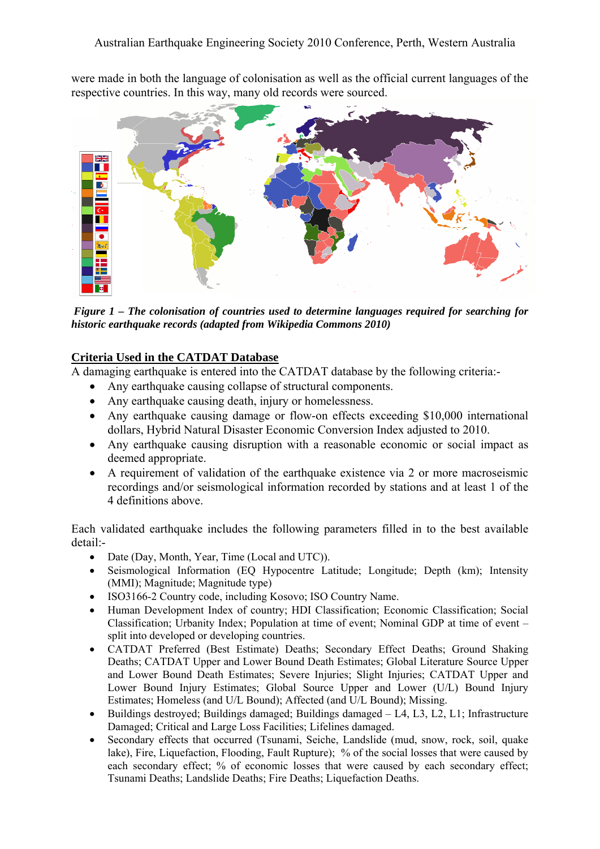were made in both the language of colonisation as well as the official current languages of the respective countries. In this way, many old records were sourced.



<span id="page-3-0"></span>*Figure 1 – The colonisation of countries used to determine languages required for searching for historic earthquake records (adapted from Wikipedia Commons 2010)* 

# **Criteria Used in the CATDAT Database**

A damaging earthquake is entered into the CATDAT database by the following criteria:-

- Any earthquake causing collapse of structural components.
- Any earthquake causing death, injury or homelessness.
- Any earthquake causing damage or flow-on effects exceeding \$10,000 international dollars, Hybrid Natural Disaster Economic Conversion Index adjusted to 2010.
- Any earthquake causing disruption with a reasonable economic or social impact as deemed appropriate.
- A requirement of validation of the earthquake existence via 2 or more macroseismic recordings and/or seismological information recorded by stations and at least 1 of the 4 definitions above.

Each validated earthquake includes the following parameters filled in to the best available detail:-

- Date (Day, Month, Year, Time (Local and UTC)).
- Seismological Information (EQ Hypocentre Latitude; Longitude; Depth (km); Intensity (MMI); Magnitude; Magnitude type)
- ISO3166-2 Country code, including Kosovo; ISO Country Name.
- Human Development Index of country; HDI Classification; Economic Classification; Social Classification; Urbanity Index; Population at time of event; Nominal GDP at time of event – split into developed or developing countries.
- CATDAT Preferred (Best Estimate) Deaths; Secondary Effect Deaths; Ground Shaking Deaths; CATDAT Upper and Lower Bound Death Estimates; Global Literature Source Upper and Lower Bound Death Estimates; Severe Injuries; Slight Injuries; CATDAT Upper and Lower Bound Injury Estimates; Global Source Upper and Lower (U/L) Bound Injury Estimates; Homeless (and U/L Bound); Affected (and U/L Bound); Missing.
- Buildings destroyed; Buildings damaged; Buildings damaged L4, L3, L2, L1; Infrastructure Damaged; Critical and Large Loss Facilities; Lifelines damaged.
- Secondary effects that occurred (Tsunami, Seiche, Landslide (mud, snow, rock, soil, quake lake), Fire, Liquefaction, Flooding, Fault Rupture); % of the social losses that were caused by each secondary effect; % of economic losses that were caused by each secondary effect; Tsunami Deaths; Landslide Deaths; Fire Deaths; Liquefaction Deaths.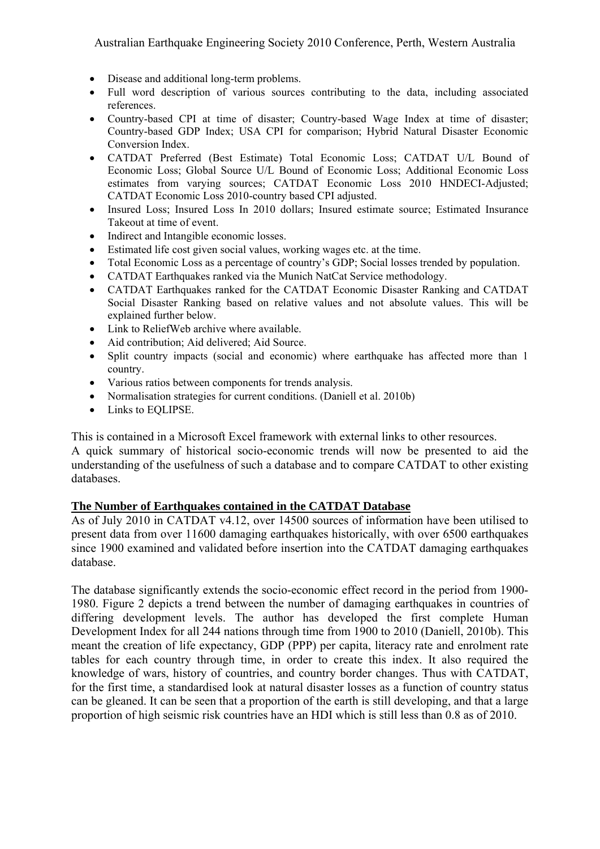- Disease and additional long-term problems.
- Full word description of various sources contributing to the data, including associated references.
- Country-based CPI at time of disaster: Country-based Wage Index at time of disaster: Country-based GDP Index; USA CPI for comparison; Hybrid Natural Disaster Economic Conversion Index.
- CATDAT Preferred (Best Estimate) Total Economic Loss; CATDAT U/L Bound of Economic Loss; Global Source U/L Bound of Economic Loss; Additional Economic Loss estimates from varying sources; CATDAT Economic Loss 2010 HNDECI-Adjusted; CATDAT Economic Loss 2010-country based CPI adjusted.
- Insured Loss; Insured Loss In 2010 dollars; Insured estimate source; Estimated Insurance Takeout at time of event.
- Indirect and Intangible economic losses.
- Estimated life cost given social values, working wages etc. at the time.
- Total Economic Loss as a percentage of country's GDP; Social losses trended by population.
- CATDAT Earthquakes ranked via the Munich NatCat Service methodology.
- CATDAT Earthquakes ranked for the CATDAT Economic Disaster Ranking and CATDAT Social Disaster Ranking based on relative values and not absolute values. This will be explained further below.
- Link to ReliefWeb archive where available.
- Aid contribution; Aid delivered; Aid Source.
- Split country impacts (social and economic) where earthquake has affected more than 1 country.
- Various ratios between components for trends analysis.
- Normalisation strategies for current conditions. (Daniell et al. 2010b)
- Links to EQLIPSE.

This is contained in a Microsoft Excel framework with external links to other resources.

A quick summary of historical socio-economic trends will now be presented to aid the understanding of the usefulness of such a database and to compare CATDAT to other existing databases.

#### **The Number of Earthquakes contained in the CATDAT Database**

As of July 2010 in CATDAT v4.12, over 14500 sources of information have been utilised to present data from over 11600 damaging earthquakes historically, with over 6500 earthquakes since 1900 examined and validated before insertion into the CATDAT damaging earthquakes database.

The database significantly extends the socio-economic effect record in the period from 1900- 1980. [Figure 2](#page-5-0) depicts a trend between the number of damaging earthquakes in countries of differing development levels. The author has developed the first complete Human Development Index for all 244 nations through time from 1900 to 2010 (Daniell, 2010b). This meant the creation of life expectancy, GDP (PPP) per capita, literacy rate and enrolment rate tables for each country through time, in order to create this index. It also required the knowledge of wars, history of countries, and country border changes. Thus with CATDAT, for the first time, a standardised look at natural disaster losses as a function of country status can be gleaned. It can be seen that a proportion of the earth is still developing, and that a large proportion of high seismic risk countries have an HDI which is still less than 0.8 as of 2010.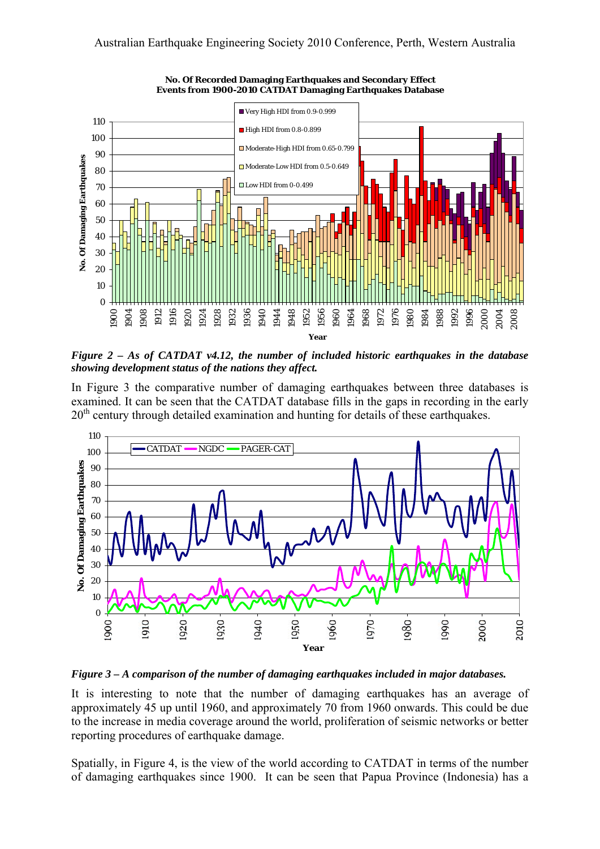

**No. Of Recorded Damaging Earthquakes and Secondary Effect Events from 1900-2010 CATDAT Damaging Earthquakes Database**

<span id="page-5-0"></span>*Figure 2 – As of CATDAT v4.12, the number of included historic earthquakes in the database showing development status of the nations they affect.*

In [Figure 3](#page-5-1) the comparative number of damaging earthquakes between three databases is examined. It can be seen that the CATDAT database fills in the gaps in recording in the early 20<sup>th</sup> century through detailed examination and hunting for details of these earthquakes.



<span id="page-5-1"></span>*Figure 3 – A comparison of the number of damaging earthquakes included in major databases.* 

It is interesting to note that the number of damaging earthquakes has an average of approximately 45 up until 1960, and approximately 70 from 1960 onwards. This could be due to the increase in media coverage around the world, proliferation of seismic networks or better reporting procedures of earthquake damage.

Spatially, in Figure 4, is the view of the world according to CATDAT in terms of the number of damaging earthquakes since 1900. It can be seen that Papua Province (Indonesia) has a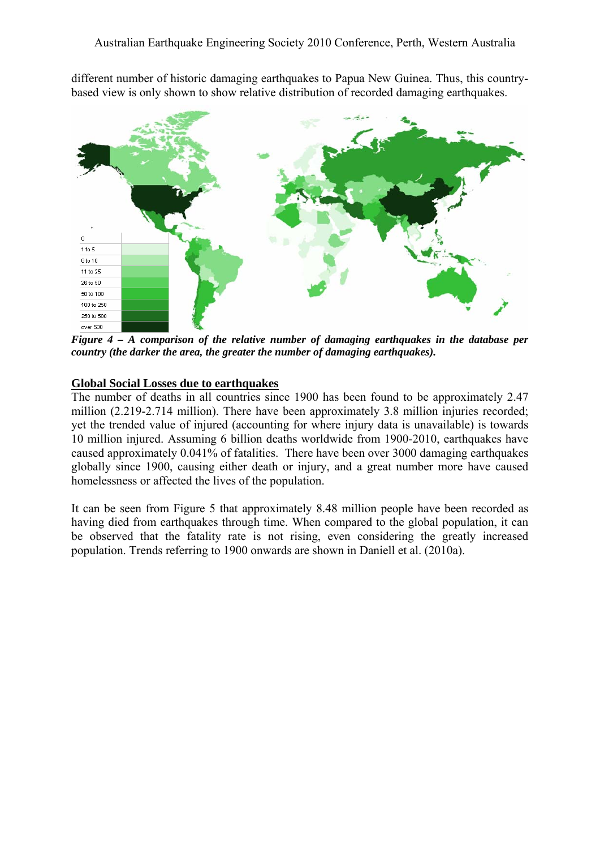different number of historic damaging earthquakes to Papua New Guinea. Thus, this countrybased view is only shown to show relative distribution of recorded damaging earthquakes.



*Figure 4 – A comparison of the relative number of damaging earthquakes in the database per country (the darker the area, the greater the number of damaging earthquakes).* 

## **Global Social Losses due to earthquakes**

The number of deaths in all countries since 1900 has been found to be approximately 2.47 million (2.219-2.714 million). There have been approximately 3.8 million injuries recorded; yet the trended value of injured (accounting for where injury data is unavailable) is towards 10 million injured. Assuming 6 billion deaths worldwide from 1900-2010, earthquakes have caused approximately 0.041% of fatalities. There have been over 3000 damaging earthquakes globally since 1900, causing either death or injury, and a great number more have caused homelessness or affected the lives of the population.

It can be seen from Figure 5 that approximately 8.48 million people have been recorded as having died from earthquakes through time. When compared to the global population, it can be observed that the fatality rate is not rising, even considering the greatly increased population. Trends referring to 1900 onwards are shown in Daniell et al. (2010a).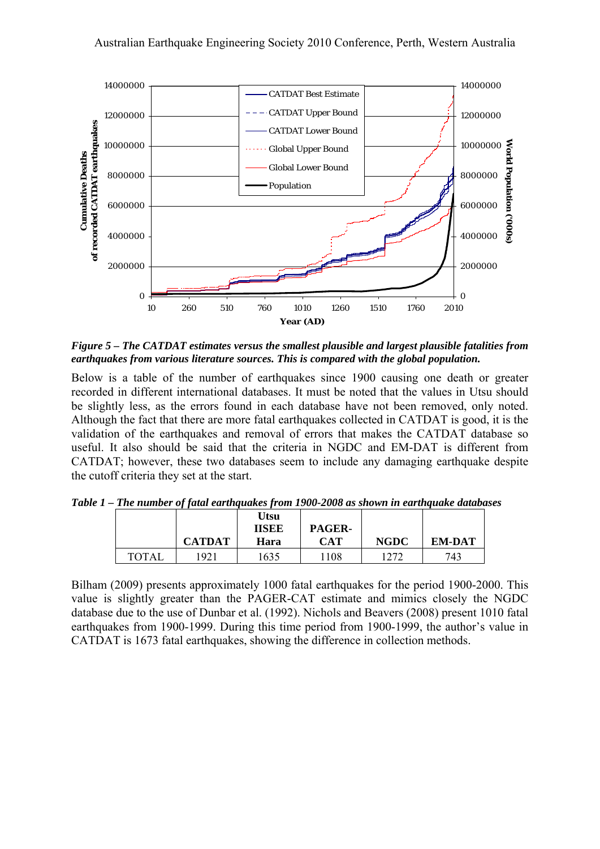

*Figure 5 – The CATDAT estimates versus the smallest plausible and largest plausible fatalities from earthquakes from various literature sources. This is compared with the global population.*

Below is a table of the number of earthquakes since 1900 causing one death or greater recorded in different international databases. It must be noted that the values in Utsu should be slightly less, as the errors found in each database have not been removed, only noted. Although the fact that there are more fatal earthquakes collected in CATDAT is good, it is the validation of the earthquakes and removal of errors that makes the CATDAT database so useful. It also should be said that the criteria in NGDC and EM-DAT is different from CATDAT; however, these two databases seem to include any damaging earthquake despite the cutoff criteria they set at the start.

|       | <b>CATDAT</b> | Utsu<br><b>IISEE</b><br>Hara | PAGER-<br><b>CAT</b> | <b>NGDC</b> | <b>EM-DAT</b> |
|-------|---------------|------------------------------|----------------------|-------------|---------------|
| TOTAI | 1921          | 1635                         | 1108                 | 1272        | 743           |

*Table 1 – The number of fatal earthquakes from 1900-2008 as shown in earthquake databases*

Bilham (2009) presents approximately 1000 fatal earthquakes for the period 1900-2000. This value is slightly greater than the PAGER-CAT estimate and mimics closely the NGDC database due to the use of Dunbar et al. (1992). Nichols and Beavers (2008) present 1010 fatal earthquakes from 1900-1999. During this time period from 1900-1999, the author's value in CATDAT is 1673 fatal earthquakes, showing the difference in collection methods.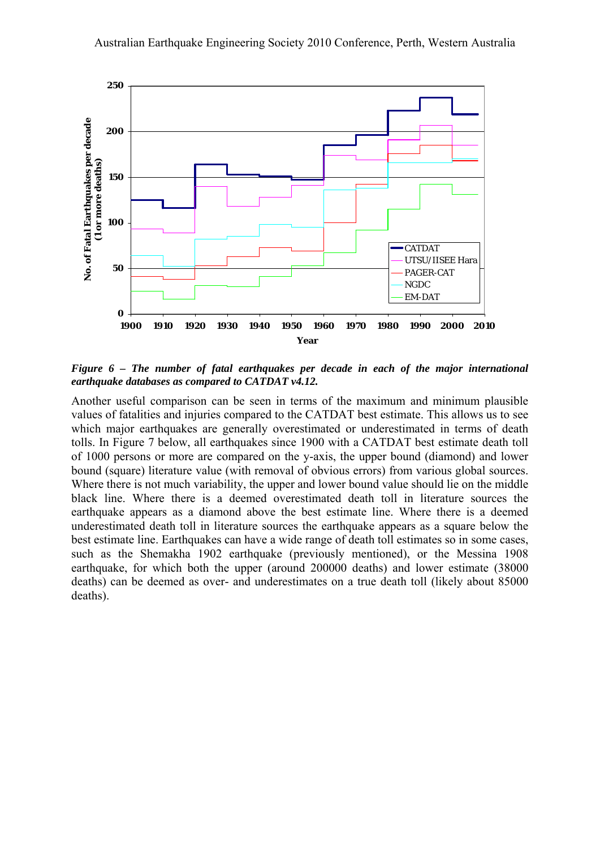

*Figure 6 – The number of fatal earthquakes per decade in each of the major international earthquake databases as compared to CATDAT v4.12.* 

Another useful comparison can be seen in terms of the maximum and minimum plausible values of fatalities and injuries compared to the CATDAT best estimate. This allows us to see which major earthquakes are generally overestimated or underestimated in terms of death tolls. In [Figure 7](#page-9-0) below, all earthquakes since 1900 with a CATDAT best estimate death toll of 1000 persons or more are compared on the y-axis, the upper bound (diamond) and lower bound (square) literature value (with removal of obvious errors) from various global sources. Where there is not much variability, the upper and lower bound value should lie on the middle black line. Where there is a deemed overestimated death toll in literature sources the earthquake appears as a diamond above the best estimate line. Where there is a deemed underestimated death toll in literature sources the earthquake appears as a square below the best estimate line. Earthquakes can have a wide range of death toll estimates so in some cases, such as the Shemakha 1902 earthquake (previously mentioned), or the Messina 1908 earthquake, for which both the upper (around 200000 deaths) and lower estimate (38000 deaths) can be deemed as over- and underestimates on a true death toll (likely about 85000 deaths).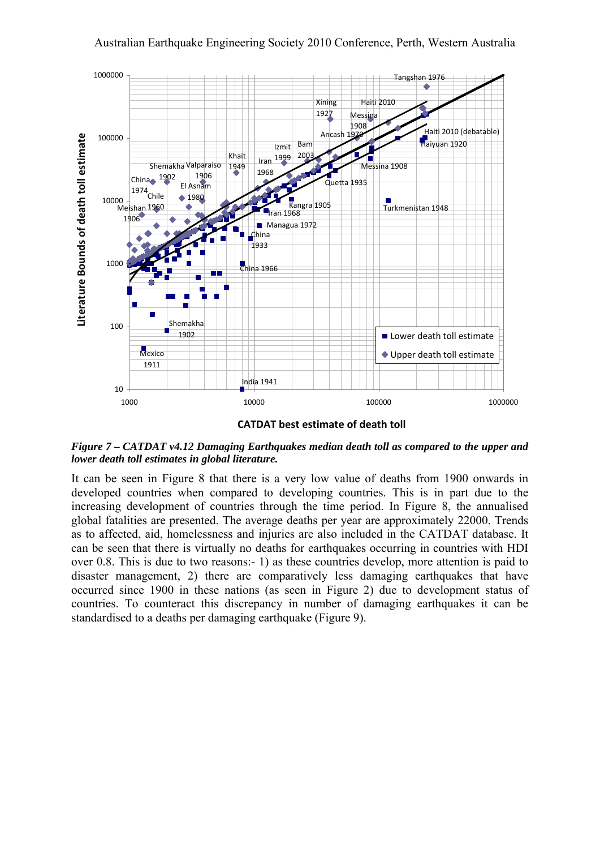

**CATDAT best estimate of death toll**

<span id="page-9-0"></span>*Figure 7 – CATDAT v4.12 Damaging Earthquakes median death toll as compared to the upper and lower death toll estimates in global literature.* 

It can be seen in [Figure 8](#page-10-0) that there is a very low value of deaths from 1900 onwards in developed countries when compared to developing countries. This is in part due to the increasing development of countries through the time period. In [Figure 8,](#page-10-0) the annualised global fatalities are presented. The average deaths per year are approximately 22000. Trends as to affected, aid, homelessness and injuries are also included in the CATDAT database. It can be seen that there is virtually no deaths for earthquakes occurring in countries with HDI over 0.8. This is due to two reasons:- 1) as these countries develop, more attention is paid to disaster management, 2) there are comparatively less damaging earthquakes that have occurred since 1900 in these nations (as seen in [Figure 2\)](#page-5-0) due to development status of countries. To counteract this discrepancy in number of damaging earthquakes it can be standardised to a deaths per damaging earthquake [\(Figure 9\)](#page-10-1).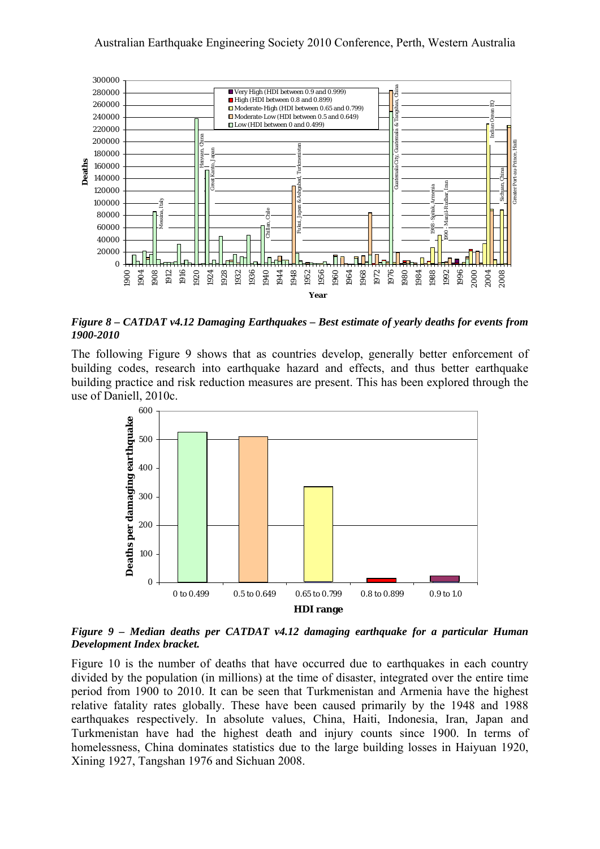

<span id="page-10-0"></span>*Figure 8 – CATDAT v4.12 Damaging Earthquakes – Best estimate of yearly deaths for events from 1900-2010* 

The following [Figure 9](#page-10-1) shows that as countries develop, generally better enforcement of building codes, research into earthquake hazard and effects, and thus better earthquake building practice and risk reduction measures are present. This has been explored through the use of Daniell, 2010c.



<span id="page-10-1"></span>*Figure 9 – Median deaths per CATDAT v4.12 damaging earthquake for a particular Human Development Index bracket.* 

[Figure 10](#page-11-0) is the number of deaths that have occurred due to earthquakes in each country divided by the population (in millions) at the time of disaster, integrated over the entire time period from 1900 to 2010. It can be seen that Turkmenistan and Armenia have the highest relative fatality rates globally. These have been caused primarily by the 1948 and 1988 earthquakes respectively. In absolute values, China, Haiti, Indonesia, Iran, Japan and Turkmenistan have had the highest death and injury counts since 1900. In terms of homelessness, China dominates statistics due to the large building losses in Haiyuan 1920, Xining 1927, Tangshan 1976 and Sichuan 2008.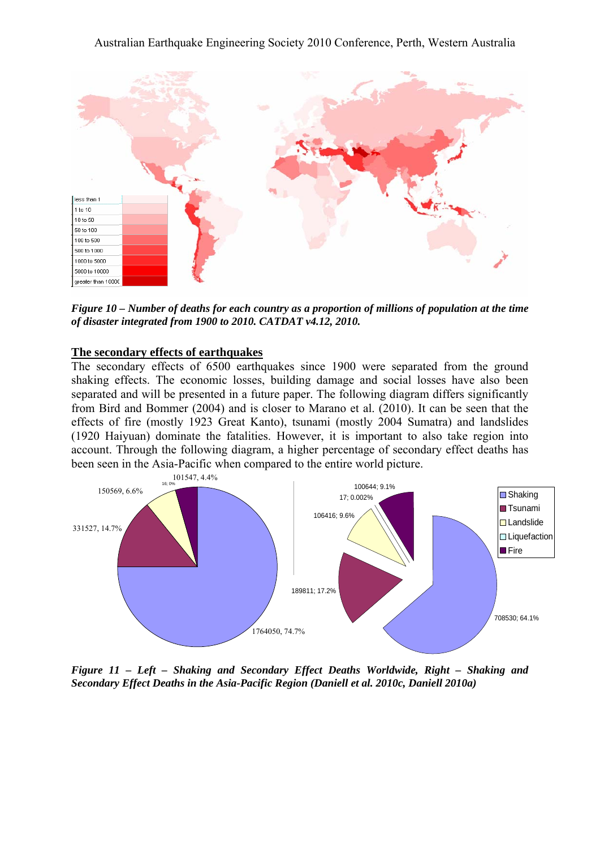

<span id="page-11-0"></span>*Figure 10 – Number of deaths for each country as a proportion of millions of population at the time of disaster integrated from 1900 to 2010. CATDAT v4.12, 2010.* 

#### **The secondary effects of earthquakes**

The secondary effects of 6500 earthquakes since 1900 were separated from the ground shaking effects. The economic losses, building damage and social losses have also been separated and will be presented in a future paper. The following diagram differs significantly from Bird and Bommer (2004) and is closer to Marano et al. (2010). It can be seen that the effects of fire (mostly 1923 Great Kanto), tsunami (mostly 2004 Sumatra) and landslides (1920 Haiyuan) dominate the fatalities. However, it is important to also take region into account. Through the following diagram, a higher percentage of secondary effect deaths has been seen in the Asia-Pacific when compared to the entire world picture.



*Figure 11 – Left – Shaking and Secondary Effect Deaths Worldwide, Right – Shaking and Secondary Effect Deaths in the Asia-Pacific Region (Daniell et al. 2010c, Daniell 2010a)*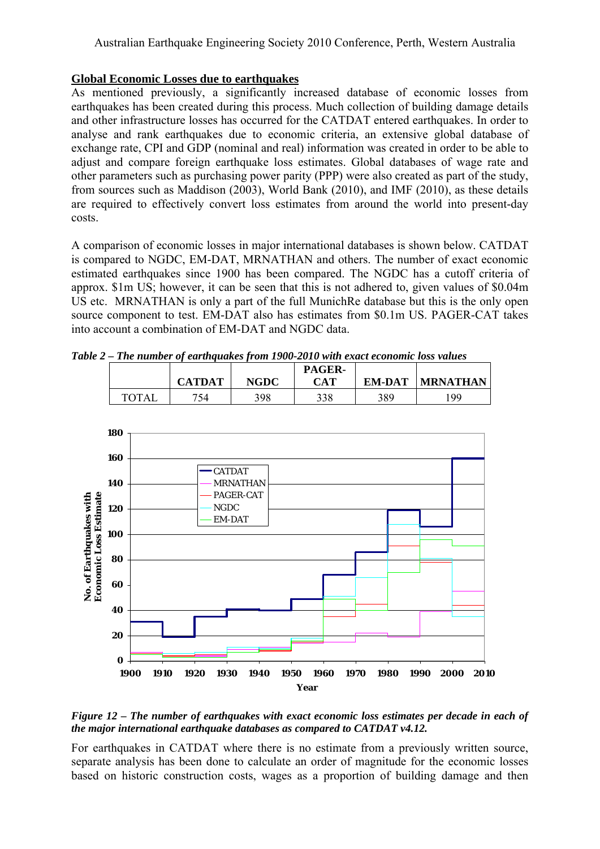# **Global Economic Losses due to earthquakes**

As mentioned previously, a significantly increased database of economic losses from earthquakes has been created during this process. Much collection of building damage details and other infrastructure losses has occurred for the CATDAT entered earthquakes. In order to analyse and rank earthquakes due to economic criteria, an extensive global database of exchange rate, CPI and GDP (nominal and real) information was created in order to be able to adjust and compare foreign earthquake loss estimates. Global databases of wage rate and other parameters such as purchasing power parity (PPP) were also created as part of the study, from sources such as Maddison (2003), World Bank (2010), and IMF (2010), as these details are required to effectively convert loss estimates from around the world into present-day costs.

A comparison of economic losses in major international databases is shown below. CATDAT is compared to NGDC, EM-DAT, MRNATHAN and others. The number of exact economic estimated earthquakes since 1900 has been compared. The NGDC has a cutoff criteria of approx. \$1m US; however, it can be seen that this is not adhered to, given values of \$0.04m US etc. MRNATHAN is only a part of the full MunichRe database but this is the only open source component to test. EM-DAT also has estimates from \$0.1m US. PAGER-CAT takes into account a combination of EM-DAT and NGDC data.

|  | Table 2 – The number of earthquakes from 1900-2010 with exact economic loss values |  |  |
|--|------------------------------------------------------------------------------------|--|--|
|  |                                                                                    |  |  |

|              |               |             | <b>PAGER-</b> |        |                 |
|--------------|---------------|-------------|---------------|--------|-----------------|
|              | <b>CATDAT</b> | <b>NGDC</b> | CAT           | EM-DAT | <b>MRNATHAN</b> |
| <b>TOTAL</b> | 754           | 398         | 338           | 389    | 199             |



*Figure 12 – The number of earthquakes with exact economic loss estimates per decade in each of the major international earthquake databases as compared to CATDAT v4.12.* 

For earthquakes in CATDAT where there is no estimate from a previously written source, separate analysis has been done to calculate an order of magnitude for the economic losses based on historic construction costs, wages as a proportion of building damage and then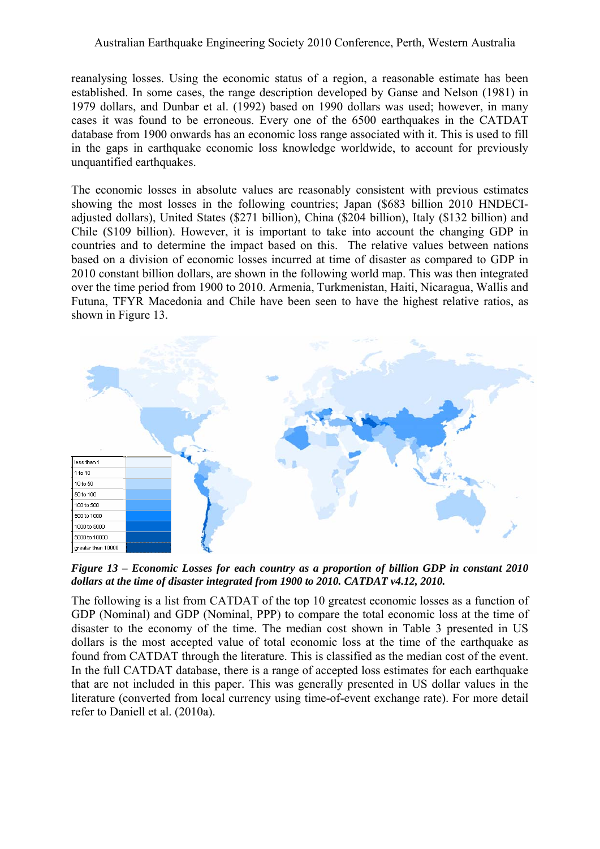reanalysing losses. Using the economic status of a region, a reasonable estimate has been established. In some cases, the range description developed by Ganse and Nelson (1981) in 1979 dollars, and Dunbar et al. (1992) based on 1990 dollars was used; however, in many cases it was found to be erroneous. Every one of the 6500 earthquakes in the CATDAT database from 1900 onwards has an economic loss range associated with it. This is used to fill in the gaps in earthquake economic loss knowledge worldwide, to account for previously unquantified earthquakes.

The economic losses in absolute values are reasonably consistent with previous estimates showing the most losses in the following countries; Japan (\$683 billion 2010 HNDECIadjusted dollars), United States (\$271 billion), China (\$204 billion), Italy (\$132 billion) and Chile (\$109 billion). However, it is important to take into account the changing GDP in countries and to determine the impact based on this. The relative values between nations based on a division of economic losses incurred at time of disaster as compared to GDP in 2010 constant billion dollars, are shown in the following world map. This was then integrated over the time period from 1900 to 2010. Armenia, Turkmenistan, Haiti, Nicaragua, Wallis and Futuna, TFYR Macedonia and Chile have been seen to have the highest relative ratios, as shown in [Figure 13.](#page-13-0)



<span id="page-13-0"></span>*Figure 13 – Economic Losses for each country as a proportion of billion GDP in constant 2010 dollars at the time of disaster integrated from 1900 to 2010. CATDAT v4.12, 2010.* 

The following is a list from CATDAT of the top 10 greatest economic losses as a function of GDP (Nominal) and GDP (Nominal, PPP) to compare the total economic loss at the time of disaster to the economy of the time. The median cost shown in [Table 3](#page-14-0) presented in US dollars is the most accepted value of total economic loss at the time of the earthquake as found from CATDAT through the literature. This is classified as the median cost of the event. In the full CATDAT database, there is a range of accepted loss estimates for each earthquake that are not included in this paper. This was generally presented in US dollar values in the literature (converted from local currency using time-of-event exchange rate). For more detail refer to Daniell et al. (2010a).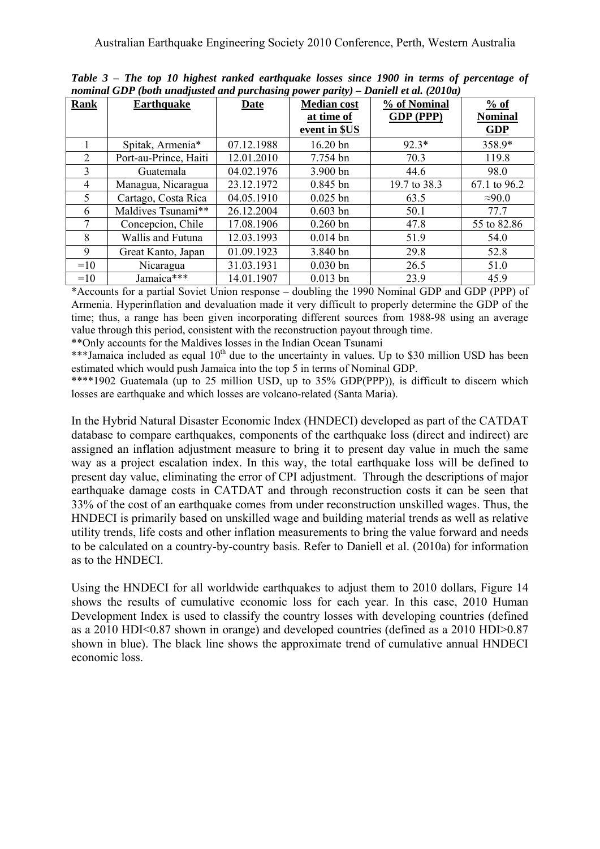<span id="page-14-0"></span>

| <b>Rank</b>         | <b>Earthquake</b>     | <b>Date</b> | <b>Median cost</b> | % of Nominal | $\frac{9}{6}$ of |
|---------------------|-----------------------|-------------|--------------------|--------------|------------------|
|                     |                       |             | at time of         | GDP (PPP)    | <b>Nominal</b>   |
|                     |                       |             | event in \$US      |              | GDP              |
|                     | Spitak, Armenia*      | 07.12.1988  | 16.20 bn           | $92.3*$      | 358.9*           |
| 2                   | Port-au-Prince, Haiti | 12.01.2010  | 7.754 bn           | 70.3         | 119.8            |
| $\mathcal{E}$       | Guatemala             | 04.02.1976  | 3.900 bn           | 44.6         | 98.0             |
| $\overline{4}$      | Managua, Nicaragua    | 23.12.1972  | $0.845$ bn         | 19.7 to 38.3 | 67.1 to 96.2     |
| 5                   | Cartago, Costa Rica   | 04.05.1910  | $0.025$ bn         | 63.5         | $\approx 90.0$   |
| 6                   | Maldives Tsunami**    | 26.12.2004  | $0.603$ bn         | 50.1         | 77.7             |
| 7                   | Concepcion, Chile     | 17.08.1906  | $0.260$ bn         | 47.8         | 55 to 82.86      |
| 8                   | Wallis and Futuna     | 12.03.1993  | $0.014$ bn         | 51.9         | 54.0             |
| 9                   | Great Kanto, Japan    | 01.09.1923  | 3.840 bn           | 29.8         | 52.8             |
| $=10$               | Nicaragua             | 31.03.1931  | $0.030$ bn         | 26.5         | 51.0             |
| Jamaica***<br>$=10$ |                       | 14.01.1907  | $0.013$ bn         | 23.9         | 45.9             |

*Table 3 – The top 10 highest ranked earthquake losses since 1900 in terms of percentage of nominal GDP (both unadjusted and purchasing power parity) – Daniell et al. (2010a)*

\*Accounts for a partial Soviet Union response – doubling the 1990 Nominal GDP and GDP (PPP) of Armenia. Hyperinflation and devaluation made it very difficult to properly determine the GDP of the time; thus, a range has been given incorporating different sources from 1988-98 using an average value through this period, consistent with the reconstruction payout through time.

\*\*Only accounts for the Maldives losses in the Indian Ocean Tsunami

\*\*\*Jamaica included as equal  $10<sup>th</sup>$  due to the uncertainty in values. Up to \$30 million USD has been estimated which would push Jamaica into the top 5 in terms of Nominal GDP.

\*\*\*\*1902 Guatemala (up to 25 million USD, up to 35% GDP(PPP)), is difficult to discern which losses are earthquake and which losses are volcano-related (Santa Maria).

In the Hybrid Natural Disaster Economic Index (HNDECI) developed as part of the CATDAT database to compare earthquakes, components of the earthquake loss (direct and indirect) are assigned an inflation adjustment measure to bring it to present day value in much the same way as a project escalation index. In this way, the total earthquake loss will be defined to present day value, eliminating the error of CPI adjustment. Through the descriptions of major earthquake damage costs in CATDAT and through reconstruction costs it can be seen that 33% of the cost of an earthquake comes from under reconstruction unskilled wages. Thus, the HNDECI is primarily based on unskilled wage and building material trends as well as relative utility trends, life costs and other inflation measurements to bring the value forward and needs to be calculated on a country-by-country basis. Refer to Daniell et al. (2010a) for information as to the HNDECI.

Using the HNDECI for all worldwide earthquakes to adjust them to 2010 dollars, [Figure 14](#page-15-0) shows the results of cumulative economic loss for each year. In this case, 2010 Human Development Index is used to classify the country losses with developing countries (defined as a 2010 HDI<0.87 shown in orange) and developed countries (defined as a 2010 HDI>0.87 shown in blue). The black line shows the approximate trend of cumulative annual HNDECI economic loss.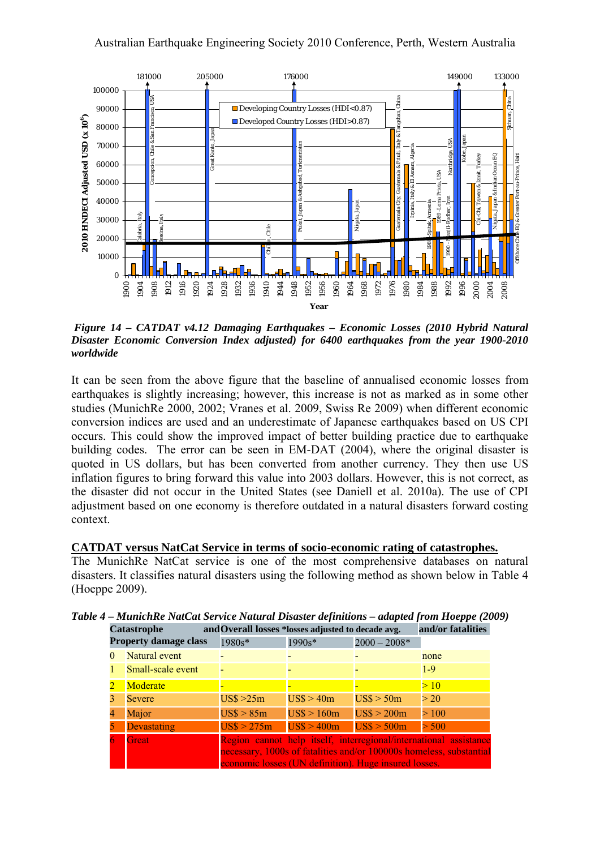

<span id="page-15-0"></span> *Figure 14 – CATDAT v4.12 Damaging Earthquakes – Economic Losses (2010 Hybrid Natural Disaster Economic Conversion Index adjusted) for 6400 earthquakes from the year 1900-2010 worldwide* 

It can be seen from the above figure that the baseline of annualised economic losses from earthquakes is slightly increasing; however, this increase is not as marked as in some other studies (MunichRe 2000, 2002; Vranes et al. 2009, Swiss Re 2009) when different economic conversion indices are used and an underestimate of Japanese earthquakes based on US CPI occurs. This could show the improved impact of better building practice due to earthquake building codes. The error can be seen in EM-DAT (2004), where the original disaster is quoted in US dollars, but has been converted from another currency. They then use US inflation figures to bring forward this value into 2003 dollars. However, this is not correct, as the disaster did not occur in the United States (see Daniell et al. 2010a). The use of CPI adjustment based on one economy is therefore outdated in a natural disasters forward costing context.

## **CATDAT versus NatCat Service in terms of socio-economic rating of catastrophes.**

The MunichRe NatCat service is one of the most comprehensive databases on natural disasters. It classifies natural disasters using the following method as shown below in [Table 4](#page-15-1) (Hoeppe 2009).

| <b>Catastrophe</b>           | and Overall losses *losses adjusted to decade avg. |                                                       |                            | and/or fatalities                                                                                                                        |
|------------------------------|----------------------------------------------------|-------------------------------------------------------|----------------------------|------------------------------------------------------------------------------------------------------------------------------------------|
| <b>Property damage class</b> | 1980s*                                             | $1990s*$                                              | $2000 - 2008*$             |                                                                                                                                          |
| Natural event                |                                                    |                                                       |                            | none                                                                                                                                     |
| Small-scale event            |                                                    |                                                       |                            | $1 - 9$                                                                                                                                  |
| Moderate                     |                                                    |                                                       |                            | >10                                                                                                                                      |
| Severe                       | $\text{USS} > 25 \text{m}$                         | USS > 40m                                             | USS > 50m                  | >20                                                                                                                                      |
| Major                        | $\text{USS} > 85 \text{m}$                         | USS > 160m                                            | $\text{USS} > 200\text{m}$ | > 100                                                                                                                                    |
| <b>Devastating</b>           | $\text{US}\$$ > 275m                               | $\text{USS} > 400 \text{m}$                           | USS > 500m                 | > 500                                                                                                                                    |
| <b>Great</b>                 |                                                    | economic losses (UN definition). Huge insured losses. |                            | Region cannot help itself, interregional/international assistance<br>necessary, 1000s of fatalities and/or 100000s homeless, substantial |

<span id="page-15-1"></span>*Table 4 – MunichRe NatCat Service Natural Disaster definitions – adapted from Hoeppe (2009)*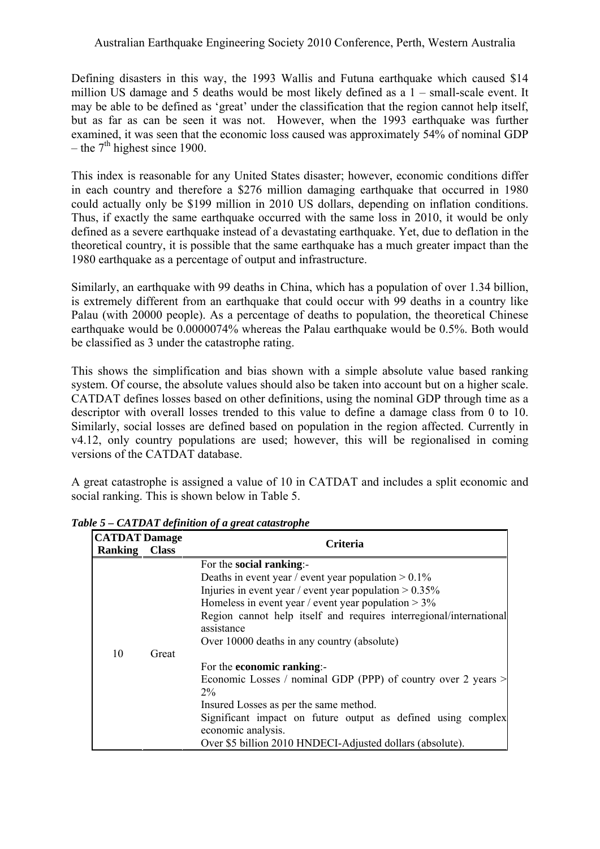Defining disasters in this way, the 1993 Wallis and Futuna earthquake which caused \$14 million US damage and 5 deaths would be most likely defined as a 1 – small-scale event. It may be able to be defined as 'great' under the classification that the region cannot help itself, but as far as can be seen it was not. However, when the 1993 earthquake was further examined, it was seen that the economic loss caused was approximately 54% of nominal GDP – the  $7<sup>th</sup>$  highest since 1900.

This index is reasonable for any United States disaster; however, economic conditions differ in each country and therefore a \$276 million damaging earthquake that occurred in 1980 could actually only be \$199 million in 2010 US dollars, depending on inflation conditions. Thus, if exactly the same earthquake occurred with the same loss in 2010, it would be only defined as a severe earthquake instead of a devastating earthquake. Yet, due to deflation in the theoretical country, it is possible that the same earthquake has a much greater impact than the 1980 earthquake as a percentage of output and infrastructure.

Similarly, an earthquake with 99 deaths in China, which has a population of over 1.34 billion, is extremely different from an earthquake that could occur with 99 deaths in a country like Palau (with 20000 people). As a percentage of deaths to population, the theoretical Chinese earthquake would be 0.0000074% whereas the Palau earthquake would be 0.5%. Both would be classified as 3 under the catastrophe rating.

This shows the simplification and bias shown with a simple absolute value based ranking system. Of course, the absolute values should also be taken into account but on a higher scale. CATDAT defines losses based on other definitions, using the nominal GDP through time as a descriptor with overall losses trended to this value to define a damage class from 0 to 10. Similarly, social losses are defined based on population in the region affected. Currently in v4.12, only country populations are used; however, this will be regionalised in coming versions of the CATDAT database.

A great catastrophe is assigned a value of 10 in CATDAT and includes a split economic and social ranking. This is shown below in [Table 5](#page-16-0).

| <b>CATDAT Damage</b><br><b>Ranking Class</b> |       | <b>Criteria</b>                                                                                                                                                                                                                                                                                                                              |  |  |  |
|----------------------------------------------|-------|----------------------------------------------------------------------------------------------------------------------------------------------------------------------------------------------------------------------------------------------------------------------------------------------------------------------------------------------|--|--|--|
| 10                                           | Great | For the social ranking:-<br>Deaths in event year / event year population $> 0.1\%$<br>Injuries in event year / event year population $> 0.35\%$<br>Homeless in event year / event year population $> 3\%$<br>Region cannot help itself and requires interregional/international<br>assistance<br>Over 10000 deaths in any country (absolute) |  |  |  |
|                                              |       | For the <b>economic ranking</b> :-<br>Economic Losses / nominal GDP (PPP) of country over 2 years ><br>$2\%$<br>Insured Losses as per the same method.<br>Significant impact on future output as defined using complex<br>economic analysis.<br>Over \$5 billion 2010 HNDECI-Adjusted dollars (absolute).                                    |  |  |  |

<span id="page-16-0"></span>*Table 5 – CATDAT definition of a great catastrophe*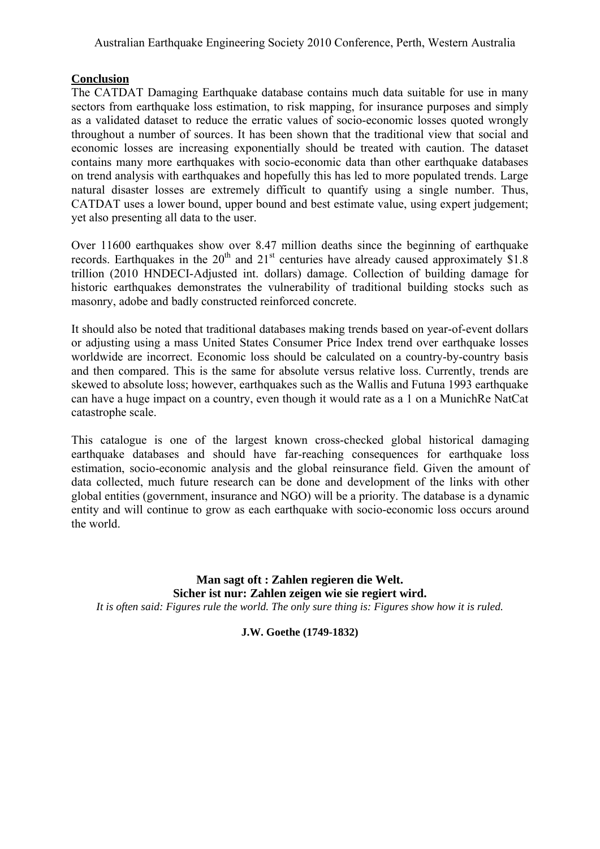# **Conclusion**

The CATDAT Damaging Earthquake database contains much data suitable for use in many sectors from earthquake loss estimation, to risk mapping, for insurance purposes and simply as a validated dataset to reduce the erratic values of socio-economic losses quoted wrongly throughout a number of sources. It has been shown that the traditional view that social and economic losses are increasing exponentially should be treated with caution. The dataset contains many more earthquakes with socio-economic data than other earthquake databases on trend analysis with earthquakes and hopefully this has led to more populated trends. Large natural disaster losses are extremely difficult to quantify using a single number. Thus, CATDAT uses a lower bound, upper bound and best estimate value, using expert judgement; yet also presenting all data to the user.

Over 11600 earthquakes show over 8.47 million deaths since the beginning of earthquake records. Earthquakes in the  $20<sup>th</sup>$  and  $21<sup>st</sup>$  centuries have already caused approximately \$1.8 trillion (2010 HNDECI-Adjusted int. dollars) damage. Collection of building damage for historic earthquakes demonstrates the vulnerability of traditional building stocks such as masonry, adobe and badly constructed reinforced concrete.

It should also be noted that traditional databases making trends based on year-of-event dollars or adjusting using a mass United States Consumer Price Index trend over earthquake losses worldwide are incorrect. Economic loss should be calculated on a country-by-country basis and then compared. This is the same for absolute versus relative loss. Currently, trends are skewed to absolute loss; however, earthquakes such as the Wallis and Futuna 1993 earthquake can have a huge impact on a country, even though it would rate as a 1 on a MunichRe NatCat catastrophe scale.

This catalogue is one of the largest known cross-checked global historical damaging earthquake databases and should have far-reaching consequences for earthquake loss estimation, socio-economic analysis and the global reinsurance field. Given the amount of data collected, much future research can be done and development of the links with other global entities (government, insurance and NGO) will be a priority. The database is a dynamic entity and will continue to grow as each earthquake with socio-economic loss occurs around the world.

**Man sagt oft : Zahlen regieren die Welt. Sicher ist nur: Zahlen zeigen wie sie regiert wird.**  *It is often said: Figures rule the world. The only sure thing is: Figures show how it is ruled.* 

**J.W. Goethe (1749-1832)**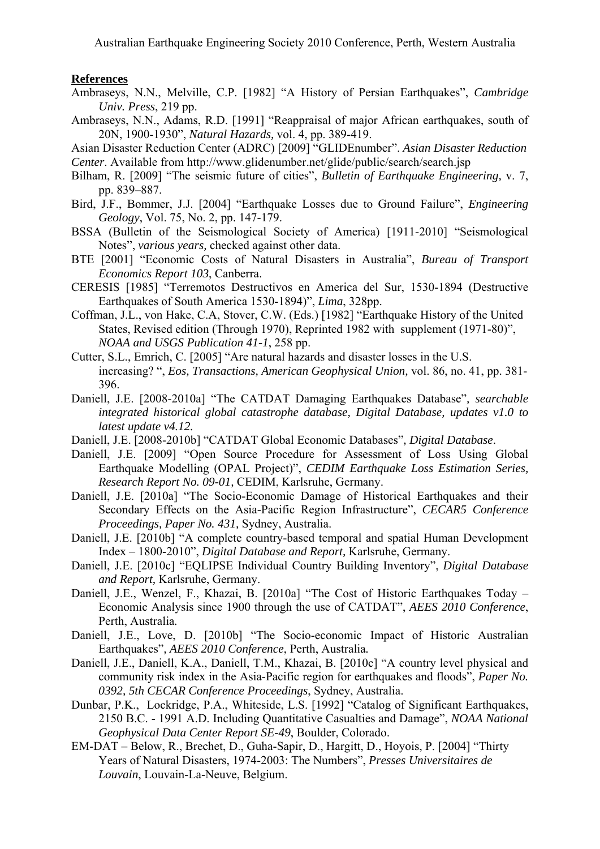## **References**

- Ambraseys, N.N., Melville, C.P. [1982] "A History of Persian Earthquakes", *Cambridge Univ. Press*, 219 pp.
- Ambraseys, N.N., Adams, R.D. [1991] "Reappraisal of major African earthquakes, south of 20N, 1900-1930", *Natural Hazards,* vol. 4, pp. 389-419.
- Asian Disaster Reduction Center (ADRC) [2009] "GLIDEnumber". *Asian Disaster Reduction Center*. Available from http://www.glidenumber.net/glide/public/search/search.jsp
- Bilham, R. [2009] "The seismic future of cities", *Bulletin of Earthquake Engineering,* v. 7, pp. 839–887.
- Bird, J.F., Bommer, J.J. [2004] "Earthquake Losses due to Ground Failure", *Engineering Geology*, Vol. 75, No. 2, pp. 147-179.
- BSSA (Bulletin of the Seismological Society of America) [1911-2010] "Seismological Notes", *various years,* checked against other data.
- BTE [2001] "Economic Costs of Natural Disasters in Australia", *Bureau of Transport Economics Report 103*, Canberra.
- CERESIS [1985] "Terremotos Destructivos en America del Sur, 1530-1894 (Destructive Earthquakes of South America 1530-1894)", *Lima*, 328pp.
- Coffman, J.L., von Hake, C.A, Stover, C.W. (Eds.) [1982] "Earthquake History of the United States, Revised edition (Through 1970), Reprinted 1982 with supplement (1971-80)", *NOAA and USGS Publication 41-1*, 258 pp.
- Cutter, S.L., Emrich, C. [2005] "Are natural hazards and disaster losses in the U.S. increasing? ", *Eos, Transactions, American Geophysical Union,* vol. 86, no. 41, pp. 381- 396.
- Daniell, J.E. [2008-2010a] "The CATDAT Damaging Earthquakes Database"*, searchable integrated historical global catastrophe database, Digital Database, updates v1.0 to latest update v4.12.*
- Daniell, J.E. [2008-2010b] "CATDAT Global Economic Databases"*, Digital Database*.
- Daniell, J.E. [2009] "Open Source Procedure for Assessment of Loss Using Global Earthquake Modelling (OPAL Project)", *CEDIM Earthquake Loss Estimation Series, Research Report No. 09-01,* CEDIM, Karlsruhe, Germany.
- Daniell, J.E. [2010a] "The Socio-Economic Damage of Historical Earthquakes and their Secondary Effects on the Asia-Pacific Region Infrastructure", *CECAR5 Conference Proceedings, Paper No. 431,* Sydney, Australia.
- Daniell, J.E. [2010b] "A complete country-based temporal and spatial Human Development Index – 1800-2010", *Digital Database and Report,* Karlsruhe, Germany.
- Daniell, J.E. [2010c] "EQLIPSE Individual Country Building Inventory", *Digital Database and Report,* Karlsruhe, Germany.
- Daniell, J.E., Wenzel, F., Khazai, B. [2010a] "The Cost of Historic Earthquakes Today Economic Analysis since 1900 through the use of CATDAT", *AEES 2010 Conference*, Perth, Australia*.*
- Daniell, J.E., Love, D. [2010b] "The Socio-economic Impact of Historic Australian Earthquakes"*, AEES 2010 Conference*, Perth, Australia*.*
- Daniell, J.E., Daniell, K.A., Daniell, T.M., Khazai, B. [2010c] "A country level physical and community risk index in the Asia-Pacific region for earthquakes and floods", *Paper No. 0392, 5th CECAR Conference Proceedings*, Sydney, Australia.
- Dunbar, P.K., Lockridge, P.A., Whiteside, L.S. [1992] "Catalog of Significant Earthquakes, 2150 B.C. - 1991 A.D. Including Quantitative Casualties and Damage", *NOAA National Geophysical Data Center Report SE-49*, Boulder, Colorado.
- EM-DAT Below, R., Brechet, D., Guha-Sapir, D., Hargitt, D., Hoyois, P. [2004] "Thirty Years of Natural Disasters, 1974-2003: The Numbers", *Presses Universitaires de Louvain*, Louvain-La-Neuve, Belgium.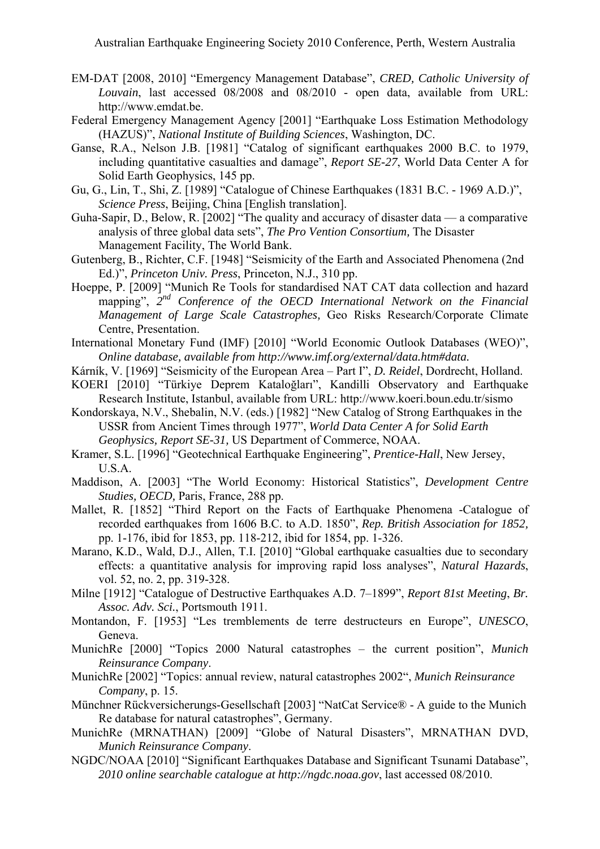- EM-DAT [2008, 2010] "Emergency Management Database", *CRED, Catholic University of Louvain*, last accessed 08/2008 and 08/2010 - open data, available from URL: http://www.emdat.be.
- Federal Emergency Management Agency [2001] "Earthquake Loss Estimation Methodology (HAZUS)", *National Institute of Building Sciences*, Washington, DC.
- Ganse, R.A., Nelson J.B. [1981] "Catalog of significant earthquakes 2000 B.C. to 1979, including quantitative casualties and damage", *Report SE-27*, World Data Center A for Solid Earth Geophysics, 145 pp.
- Gu, G., Lin, T., Shi, Z. [1989] "Catalogue of Chinese Earthquakes (1831 B.C. 1969 A.D.)", *Science Press*, Beijing, China [English translation].
- Guha-Sapir, D., Below, R. [2002] "The quality and accuracy of disaster data a comparative analysis of three global data sets", *The Pro Vention Consortium,* The Disaster Management Facility, The World Bank.
- Gutenberg, B., Richter, C.F. [1948] "Seismicity of the Earth and Associated Phenomena (2nd Ed.)", *Princeton Univ. Press*, Princeton, N.J., 310 pp.
- Hoeppe, P. [2009] "Munich Re Tools for standardised NAT CAT data collection and hazard mapping", *2nd Conference of the OECD International Network on the Financial Management of Large Scale Catastrophes,* Geo Risks Research/Corporate Climate Centre, Presentation.
- International Monetary Fund (IMF) [2010] "World Economic Outlook Databases (WEO)", *Online database, available from<http://www.imf.org/external/data.htm#data>.*
- Kárník, V. [1969] "Seismicity of the European Area Part I", *D. Reidel*, Dordrecht, Holland.
- KOERI [2010] "Türkiye Deprem Kataloğları", Kandilli Observatory and Earthquake Research Institute, Istanbul, available from URL: http://www.koeri.boun.edu.tr/sismo
- Kondorskaya, N.V., Shebalin, N.V. (eds.) [1982] "New Catalog of Strong Earthquakes in the USSR from Ancient Times through 1977", *World Data Center A for Solid Earth Geophysics, Report SE-31,* US Department of Commerce, NOAA.
- Kramer, S.L. [1996] "Geotechnical Earthquake Engineering", *Prentice-Hall*, New Jersey, U.S.A.
- Maddison, A. [2003] "The World Economy: Historical Statistics", *Development Centre Studies, OECD, Paris, France, 288 pp.*
- Mallet, R. [1852] "Third Report on the Facts of Earthquake Phenomena -Catalogue of recorded earthquakes from 1606 B.C. to A.D. 1850", *Rep. British Association for 1852,* pp. 1-176, ibid for 1853, pp. 118-212, ibid for 1854, pp. 1-326.
- Marano, K.D., Wald, D.J., Allen, T.I. [2010] "Global earthquake casualties due to secondary effects: a quantitative analysis for improving rapid loss analyses", *Natural Hazards*, vol. 52, no. 2, pp. 319-328.
- Milne [1912] "Catalogue of Destructive Earthquakes A.D. 7–1899", *Report 81st Meeting*, *Br. Assoc. Adv. Sci.*, Portsmouth 1911.
- Montandon, F. [1953] "Les tremblements de terre destructeurs en Europe", *UNESCO*, Geneva.
- MunichRe [2000] "Topics 2000 Natural catastrophes the current position", *Munich Reinsurance Company*.
- MunichRe [2002] "Topics: annual review, natural catastrophes 2002", *Munich Reinsurance Company*, p. 15.
- Münchner Rückversicherungs-Gesellschaft [2003] "NatCat Service® A guide to the Munich Re database for natural catastrophes", Germany.
- MunichRe (MRNATHAN) [2009] "Globe of Natural Disasters", MRNATHAN DVD, *Munich Reinsurance Company*.
- NGDC/NOAA [2010] "Significant Earthquakes Database and Significant Tsunami Database", *2010 online searchable catalogue at [http://ngdc.noaa.gov](http://ngdc.noaa.gov/)*, last accessed 08/2010.